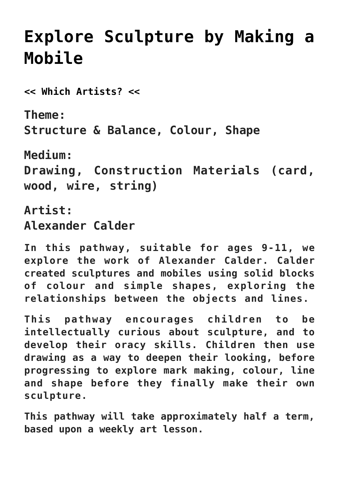# **[Explore Sculpture by Making a](https://www.accessart.org.uk/exploring-sculpture-9-11/) [Mobile](https://www.accessart.org.uk/exploring-sculpture-9-11/)**

**[<< Which Artists? <<](https://www.accessart.org.uk/which-artists/)**

**Theme: Structure & Balance, Colour, Shape**

**Medium: Drawing, Construction Materials (card, wood, wire, string)**

**Artist: Alexander Calder**

**In this pathway, suitable for ages 9-11, we explore the work of Alexander Calder. Calder created sculptures and mobiles using solid blocks of colour and simple shapes, exploring the relationships between the objects and lines.**

**This pathway encourages children to be intellectually curious about sculpture, and to develop their oracy skills. Children then use drawing as a way to deepen their looking, before progressing to explore mark making, colour, line and shape before they finally make their own sculpture.** 

**This pathway will take approximately half a term, based upon a weekly art lesson.**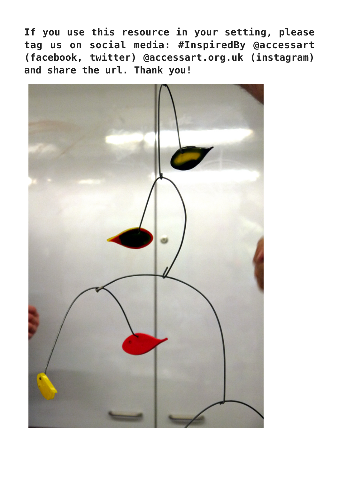**If you use this resource in your setting, please tag us on social media: #InspiredBy @accessart (facebook, twitter) @accessart.org.uk (instagram) and share the url. Thank you!**

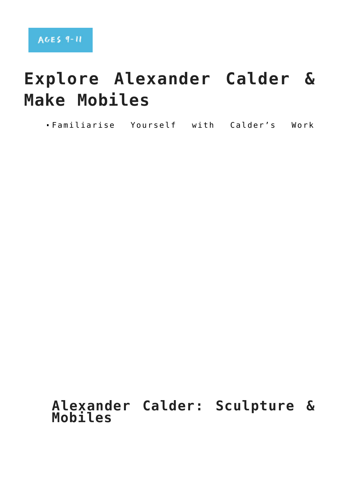# **Explore Alexander Calder & Make Mobiles**

Familiarise Yourself with Calder's Work

### **Alexander Calder: Sculpture & Mobiles**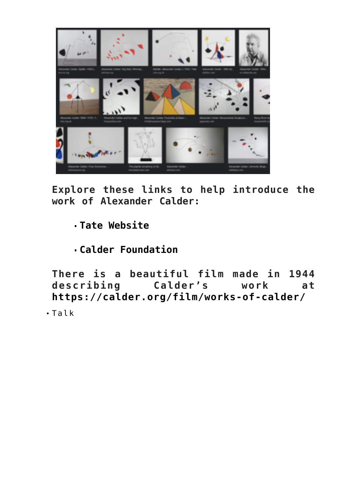

**Explore these links to help introduce the work of Alexander Calder:**

- **[Tate Website](https://www.tate.org.uk/art/artists/alexander-calder-848)**
- **[Calder Foundation](https://calder.org/)**

**There is a beautiful film made in 1944 describing Calder's work at <https://calder.org/film/works-of-calder/>**

Talk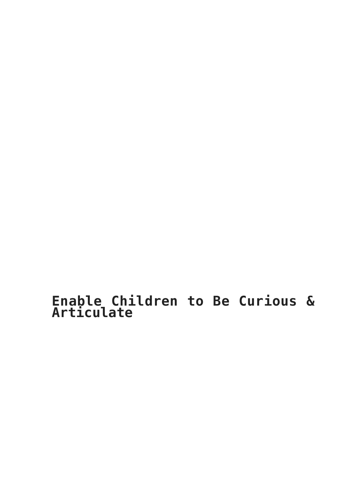**Enable Children to Be Curious & Articulate**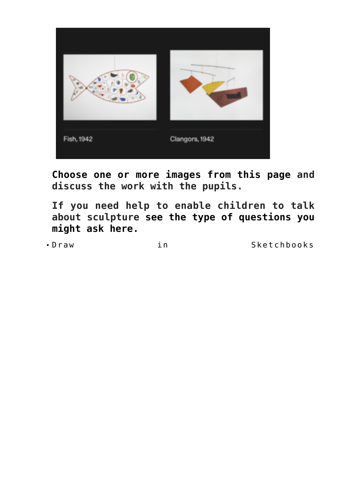

**[Choose one or more images from this page](https://calder.org/archive/all/works/hanging-mobile/) and discuss the work with the pupils.** 

**If you need help to enable children to talk about sculpture [see the type of questions you](https://www.accessart.org.uk/looking-at-contemporary-sculpture/) [might ask here.](https://www.accessart.org.uk/looking-at-contemporary-sculpture/)** 

Draw in Sketchbooks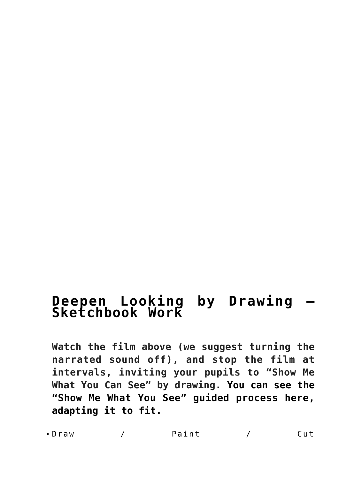### **[Deepen Looking by Drawing –](https://www.accessart.org.uk/show-me-what-you-see-drawing-inspired-by-anglo-saxon-architecture/) [Sketchbook Work](https://www.accessart.org.uk/show-me-what-you-see-drawing-inspired-by-anglo-saxon-architecture/)**

**Watch the film above (we suggest turning the narrated sound off), and stop the film at intervals, inviting your pupils to "Show Me What You Can See" by drawing. [You can see the](https://www.accessart.org.uk/show-me-what-you-see-drawing-inspired-by-anglo-saxon-architecture/) ["Show Me What You See" guided process here,](https://www.accessart.org.uk/show-me-what-you-see-drawing-inspired-by-anglo-saxon-architecture/) [adapting it to fit.](https://www.accessart.org.uk/show-me-what-you-see-drawing-inspired-by-anglo-saxon-architecture/)** 

Draw / Paint / Cut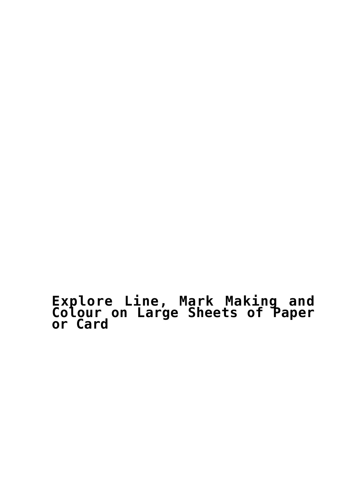#### **[Explore Line, Mark Making and](https://www.accessart.org.uk/heavylight-mobile-drawing-and-making/) [Colour on Large Sheets of Paper](https://www.accessart.org.uk/heavylight-mobile-drawing-and-making/) [or Card](https://www.accessart.org.uk/heavylight-mobile-drawing-and-making/)**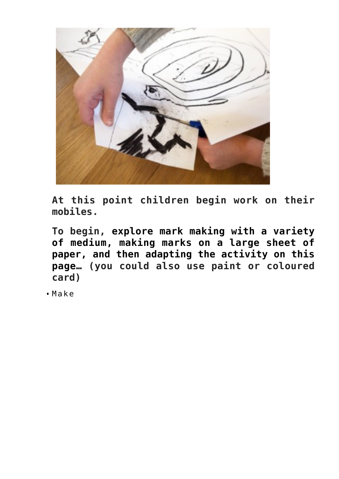

**At this point children begin work on their mobiles.** 

**To begin, [explore mark making with a variety](https://www.accessart.org.uk/wp-content/uploads/2012/04/heavymobile_cut2.jpg) [of medium, making marks on a large sheet of](https://www.accessart.org.uk/wp-content/uploads/2012/04/heavymobile_cut2.jpg) [paper, and then adapting the activity on this](https://www.accessart.org.uk/wp-content/uploads/2012/04/heavymobile_cut2.jpg) [page… \(](https://www.accessart.org.uk/wp-content/uploads/2012/04/heavymobile_cut2.jpg)you could also use paint or coloured card)**

Make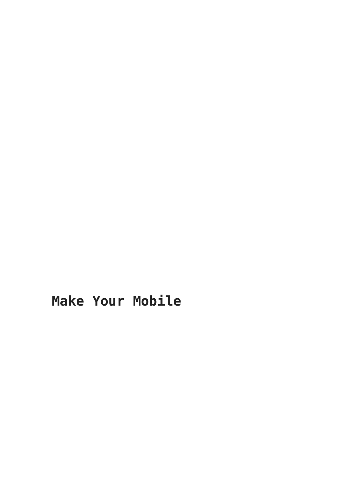### **Make Your Mobile**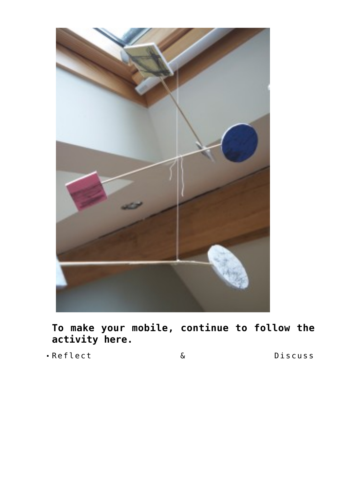

**[To make your mobile, continue to follow the](https://www.accessart.org.uk/heavylight-mobile-drawing-and-making/) [activity here.](https://www.accessart.org.uk/heavylight-mobile-drawing-and-making/)**

Reflect & Discuss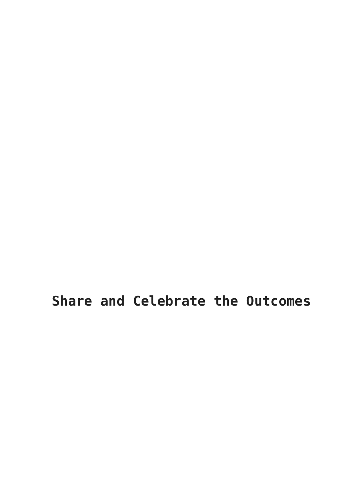**Share and Celebrate the Outcomes**